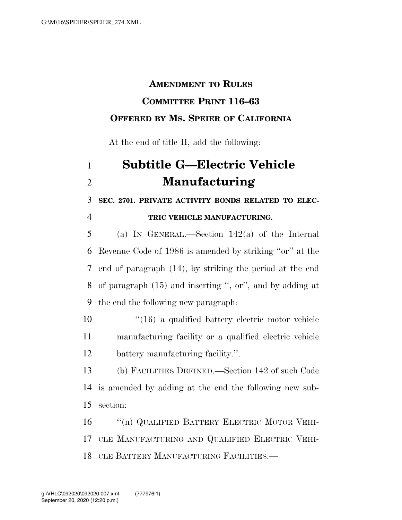## **AMENDMENT TO RULES COMMITTEE PRINT 116–63 OFFERED BY MS. SPEIER OF CALIFORNIA**

At the end of title II, add the following:

## **Subtitle G—Electric Vehicle Manufacturing**

**SEC. 2701. PRIVATE ACTIVITY BONDS RELATED TO ELEC-**

## **TRIC VEHICLE MANUFACTURING.**

 (a) IN GENERAL.—Section 142(a) of the Internal Revenue Code of 1986 is amended by striking ''or'' at the end of paragraph (14), by striking the period at the end of paragraph (15) and inserting '', or'', and by adding at the end the following new paragraph:

 ''(16) a qualified battery electric motor vehicle manufacturing facility or a qualified electric vehicle battery manufacturing facility.''.

 (b) FACILITIES DEFINED.—Section 142 of such Code is amended by adding at the end the following new sub-section:

16 "(n) QUALIFIED BATTERY ELECTRIC MOTOR VEHI- CLE MANUFACTURING AND QUALIFIED ELECTRIC VEHI-CLE BATTERY MANUFACTURING FACILITIES.—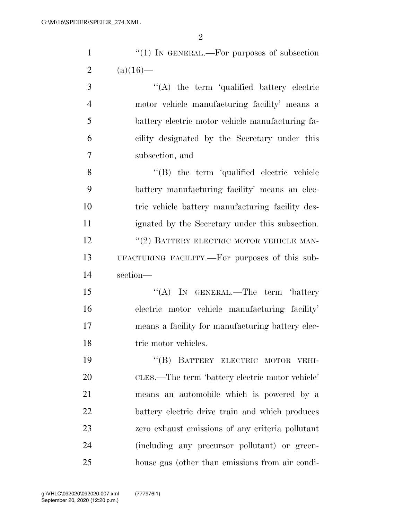| $\mathbf{1}$   | "(1) IN GENERAL.—For purposes of subsection      |
|----------------|--------------------------------------------------|
| $\overline{2}$ | $(a)(16)$ —                                      |
| 3              | $\lq\lq$ the term 'qualified battery electric    |
| $\overline{4}$ | motor vehicle manufacturing facility' means a    |
| 5              | battery electric motor vehicle manufacturing fa- |
| 6              | cility designated by the Secretary under this    |
| 7              | subsection, and                                  |
| 8              | "(B) the term 'qualified electric vehicle        |
| 9              | battery manufacturing facility' means an elec-   |
| 10             | tric vehicle battery manufacturing facility des- |
| 11             | ignated by the Secretary under this subsection.  |
| 12             | "(2) BATTERY ELECTRIC MOTOR VEHICLE MAN-         |
| 13             | UFACTURING FACILITY.—For purposes of this sub-   |
| 14             | section-                                         |
| 15             | "(A) IN GENERAL.—The term 'battery               |
| 16             | electric motor vehicle manufacturing facility'   |
| 17             | means a facility for manufacturing battery elec- |
| 18             | tric motor vehicles.                             |
| 19             | "(B) BATTERY ELECTRIC MOTOR VEHI-                |
| 20             | CLES.—The term 'battery electric motor vehicle'  |
| 21             | means an automobile which is powered by a        |
| 22             | battery electric drive train and which produces  |
| 23             | zero exhaust emissions of any criteria pollutant |
| 24             | (including any precursor pollutant) or green-    |
| 25             | house gas (other than emissions from air condi-  |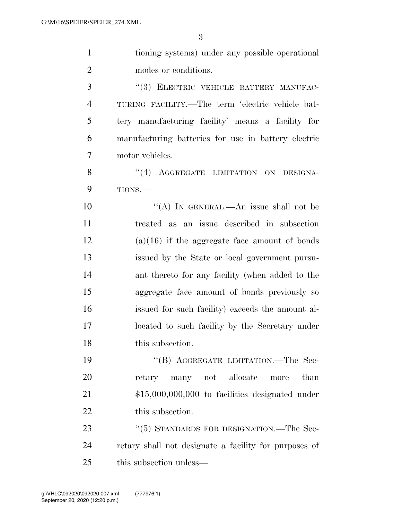| $\mathbf{1}$   | tioning systems) under any possible operational       |
|----------------|-------------------------------------------------------|
| $\overline{2}$ | modes or conditions.                                  |
| 3              | "(3) ELECTRIC VEHICLE BATTERY MANUFAC-                |
| $\overline{4}$ | TURING FACILITY.—The term 'electric vehicle bat-      |
| 5              | tery manufacturing facility' means a facility for     |
| 6              | manufacturing batteries for use in battery electric   |
| 7              | motor vehicles.                                       |
| 8              | "(4) AGGREGATE LIMITATION ON DESIGNA-                 |
| 9              | TIONS.-                                               |
| 10             | "(A) IN GENERAL.—An issue shall not be                |
| 11             | treated as an issue described in subsection           |
| 12             | $(a)(16)$ if the aggregate face amount of bonds       |
| 13             | issued by the State or local government pursu-        |
| 14             | ant thereto for any facility (when added to the       |
| 15             | aggregate face amount of bonds previously so          |
| 16             | issued for such facility) exceeds the amount al-      |
| 17             | located to such facility by the Secretary under       |
| 18             | this subsection.                                      |
| 19             | "(B) AGGREGATE LIMITATION.—The Sec-                   |
| 20             | retary many not allocate<br>than<br>more              |
| 21             | $$15,000,000,000$ to facilities designated under      |
| 22             | this subsection.                                      |
| 23             | "(5) STANDARDS FOR DESIGNATION.—The Sec-              |
| 24             | retary shall not designate a facility for purposes of |
| 25             | this subsection unless—                               |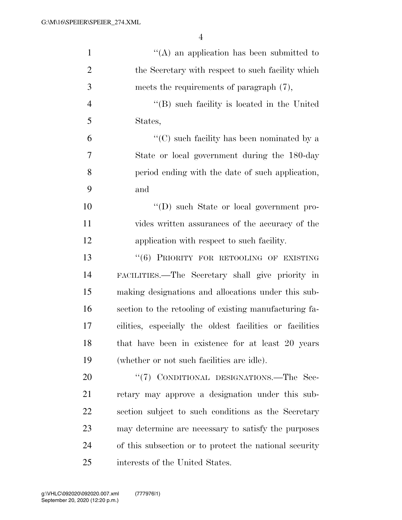| $\mathbf{1}$   | $\lq\lq$ an application has been submitted to            |
|----------------|----------------------------------------------------------|
| $\overline{2}$ | the Secretary with respect to such facility which        |
| 3              | meets the requirements of paragraph (7),                 |
| $\overline{4}$ | $\lq\lq (B)$ such facility is located in the United      |
| 5              | States,                                                  |
| 6              | "(C) such facility has been nominated by a               |
| 7              | State or local government during the 180-day             |
| 8              | period ending with the date of such application,         |
| 9              | and                                                      |
| 10             | "(D) such State or local government pro-                 |
| 11             | vides written assurances of the accuracy of the          |
| 12             | application with respect to such facility.               |
| 13             | "(6) PRIORITY FOR RETOOLING OF EXISTING                  |
| 14             | FACILITIES.—The Secretary shall give priority in         |
| 15             | making designations and allocations under this sub-      |
| 16             | section to the retooling of existing manufacturing fa-   |
| 17             | cilities, especially the oldest facilities or facilities |
| 18             | that have been in existence for at least 20 years        |
| 19             | (whether or not such facilities are idle).               |
| 20             | "(7) CONDITIONAL DESIGNATIONS.—The Sec-                  |
| 21             | retary may approve a designation under this sub-         |
| 22             | section subject to such conditions as the Secretary      |
| 23             | may determine are necessary to satisfy the purposes      |
| 24             | of this subsection or to protect the national security   |
| 25             | interests of the United States.                          |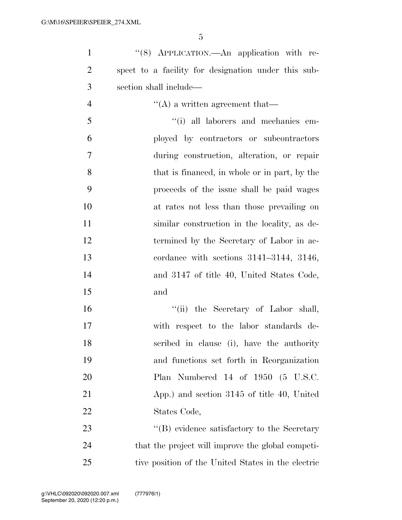| 1              | "(8) APPLICATION.—An application with re-           |
|----------------|-----------------------------------------------------|
| $\overline{2}$ | spect to a facility for designation under this sub- |
| 3              | section shall include—                              |
| $\overline{4}$ | $\lq\lq$ a written agreement that—                  |
| 5              | "(i) all laborers and mechanics em-                 |
| 6              | ployed by contractors or subcontractors             |
| $\overline{7}$ | during construction, alteration, or repair          |
| 8              | that is financed, in whole or in part, by the       |
| 9              | proceeds of the issue shall be paid wages           |
| 10             | at rates not less than those prevailing on          |
| 11             | similar construction in the locality, as de-        |
| 12             | termined by the Secretary of Labor in ac-           |
| 13             | cordance with sections $3141-3144$ , $3146$ ,       |
| 14             | and 3147 of title 40, United States Code,           |
| 15             | and                                                 |
| 16             | "(ii) the Secretary of Labor shall,                 |
| 17             | with respect to the labor standards de-             |
| 18             | scribed in clause (i), have the authority           |
| 19             | and functions set forth in Reorganization           |
| 20             | Plan Numbered 14 of 1950 (5 U.S.C.                  |
| 21             | App.) and section 3145 of title 40, United          |
| 22             | States Code,                                        |
| 23             | "(B) evidence satisfactory to the Secretary         |
| 24             | that the project will improve the global competi-   |
| 25             | tive position of the United States in the electric  |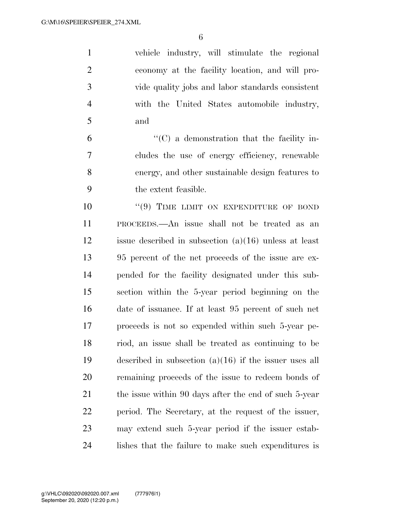vehicle industry, will stimulate the regional economy at the facility location, and will pro- vide quality jobs and labor standards consistent with the United States automobile industry, and

 $\mathfrak{g}$   $\mathfrak{t}$  (C) a demonstration that the facility in- cludes the use of energy efficiency, renewable energy, and other sustainable design features to the extent feasible.

 $(9)$  TIME LIMIT ON EXPENDITURE OF BOND PROCEEDS.—An issue shall not be treated as an issue described in subsection (a)(16) unless at least 95 percent of the net proceeds of the issue are ex- pended for the facility designated under this sub- section within the 5-year period beginning on the date of issuance. If at least 95 percent of such net proceeds is not so expended within such 5-year pe- riod, an issue shall be treated as continuing to be described in subsection (a)(16) if the issuer uses all remaining proceeds of the issue to redeem bonds of 21 the issue within 90 days after the end of such 5-year period. The Secretary, at the request of the issuer, may extend such 5-year period if the issuer estab-lishes that the failure to make such expenditures is